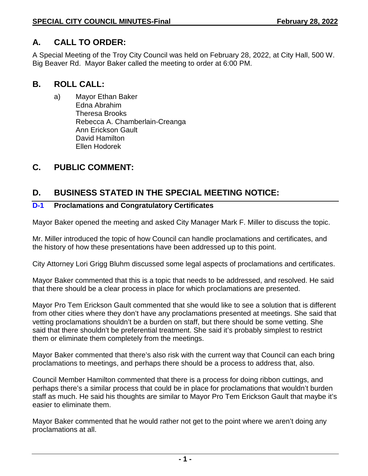# **A. CALL TO ORDER:**

A Special Meeting of the Troy City Council was held on February 28, 2022, at City Hall, 500 W. Big Beaver Rd. Mayor Baker called the meeting to order at 6:00 PM.

## **B. ROLL CALL:**

a) Mayor Ethan Baker Edna Abrahim Theresa Brooks Rebecca A. Chamberlain-Creanga Ann Erickson Gault David Hamilton Ellen Hodorek

## **C. PUBLIC COMMENT:**

# **D. BUSINESS STATED IN THE SPECIAL MEETING NOTICE:**

## **D-1 Proclamations and Congratulatory Certificates**

Mayor Baker opened the meeting and asked City Manager Mark F. Miller to discuss the topic.

Mr. Miller introduced the topic of how Council can handle proclamations and certificates, and the history of how these presentations have been addressed up to this point.

City Attorney Lori Grigg Bluhm discussed some legal aspects of proclamations and certificates.

Mayor Baker commented that this is a topic that needs to be addressed, and resolved. He said that there should be a clear process in place for which proclamations are presented.

Mayor Pro Tem Erickson Gault commented that she would like to see a solution that is different from other cities where they don't have any proclamations presented at meetings. She said that vetting proclamations shouldn't be a burden on staff, but there should be some vetting. She said that there shouldn't be preferential treatment. She said it's probably simplest to restrict them or eliminate them completely from the meetings.

Mayor Baker commented that there's also risk with the current way that Council can each bring proclamations to meetings, and perhaps there should be a process to address that, also.

Council Member Hamilton commented that there is a process for doing ribbon cuttings, and perhaps there's a similar process that could be in place for proclamations that wouldn't burden staff as much. He said his thoughts are similar to Mayor Pro Tem Erickson Gault that maybe it's easier to eliminate them.

Mayor Baker commented that he would rather not get to the point where we aren't doing any proclamations at all.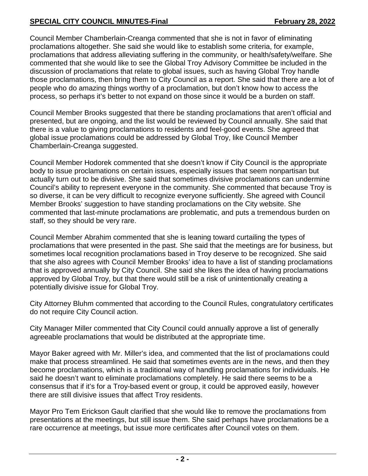Council Member Chamberlain-Creanga commented that she is not in favor of eliminating proclamations altogether. She said she would like to establish some criteria, for example, proclamations that address alleviating suffering in the community, or health/safety/welfare. She commented that she would like to see the Global Troy Advisory Committee be included in the discussion of proclamations that relate to global issues, such as having Global Troy handle those proclamations, then bring them to City Council as a report. She said that there are a lot of people who do amazing things worthy of a proclamation, but don't know how to access the process, so perhaps it's better to not expand on those since it would be a burden on staff.

Council Member Brooks suggested that there be standing proclamations that aren't official and presented, but are ongoing, and the list would be reviewed by Council annually. She said that there is a value to giving proclamations to residents and feel-good events. She agreed that global issue proclamations could be addressed by Global Troy, like Council Member Chamberlain-Creanga suggested.

Council Member Hodorek commented that she doesn't know if City Council is the appropriate body to issue proclamations on certain issues, especially issues that seem nonpartisan but actually turn out to be divisive. She said that sometimes divisive proclamations can undermine Council's ability to represent everyone in the community. She commented that because Troy is so diverse, it can be very difficult to recognize everyone sufficiently. She agreed with Council Member Brooks' suggestion to have standing proclamations on the City website. She commented that last-minute proclamations are problematic, and puts a tremendous burden on staff, so they should be very rare.

Council Member Abrahim commented that she is leaning toward curtailing the types of proclamations that were presented in the past. She said that the meetings are for business, but sometimes local recognition proclamations based in Troy deserve to be recognized. She said that she also agrees with Council Member Brooks' idea to have a list of standing proclamations that is approved annually by City Council. She said she likes the idea of having proclamations approved by Global Troy, but that there would still be a risk of unintentionally creating a potentially divisive issue for Global Troy.

City Attorney Bluhm commented that according to the Council Rules, congratulatory certificates do not require City Council action.

City Manager Miller commented that City Council could annually approve a list of generally agreeable proclamations that would be distributed at the appropriate time.

Mayor Baker agreed with Mr. Miller's idea, and commented that the list of proclamations could make that process streamlined. He said that sometimes events are in the news, and then they become proclamations, which is a traditional way of handling proclamations for individuals. He said he doesn't want to eliminate proclamations completely. He said there seems to be a consensus that if it's for a Troy-based event or group, it could be approved easily, however there are still divisive issues that affect Troy residents.

Mayor Pro Tem Erickson Gault clarified that she would like to remove the proclamations from presentations at the meetings, but still issue them. She said perhaps have proclamations be a rare occurrence at meetings, but issue more certificates after Council votes on them.